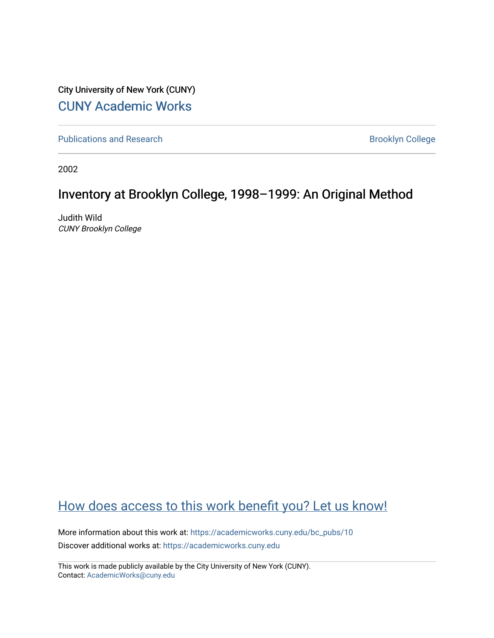City University of New York (CUNY) [CUNY Academic Works](https://academicworks.cuny.edu/) 

[Publications and Research](https://academicworks.cuny.edu/bc_pubs) **Brooklyn College** Brooklyn College

2002

# Inventory at Brooklyn College, 1998–1999: An Original Method

Judith Wild CUNY Brooklyn College

# [How does access to this work benefit you? Let us know!](http://ols.cuny.edu/academicworks/?ref=https://academicworks.cuny.edu/bc_pubs/10)

More information about this work at: [https://academicworks.cuny.edu/bc\\_pubs/10](https://academicworks.cuny.edu/bc_pubs/10)  Discover additional works at: [https://academicworks.cuny.edu](https://academicworks.cuny.edu/?)

This work is made publicly available by the City University of New York (CUNY). Contact: [AcademicWorks@cuny.edu](mailto:AcademicWorks@cuny.edu)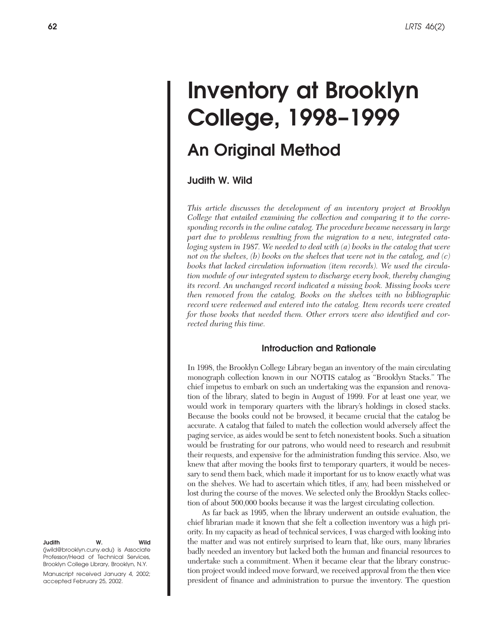# **Inventory at Brooklyn College, 1998–1999**

# **An Original Method**

**Judith W. Wild**

*This article discusses the development of an inventory project at Brooklyn College that entailed examining the collection and comparing it to the corresponding records in the online catalog. The procedure became necessary in large part due to problems resulting from the migration to a new, integrated cataloging system in 1987. We needed to deal with (a) books in the catalog that were not on the shelves, (b) books on the shelves that were not in the catalog, and (c) books that lacked circulation information (item records). We used the circulation module of our integrated system to discharge every book, thereby changing its record. An unchanged record indicated a missing book. Missing books were then removed from the catalog. Books on the shelves with no bibliographic record were redeemed and entered into the catalog. Item records were created for those books that needed them. Other errors were also identified and corrected during this time.*

# **Introduction and Rationale**

In 1998, the Brooklyn College Library began an inventory of the main circulating monograph collection known in our NOTIS catalog as "Brooklyn Stacks." The chief impetus to embark on such an undertaking was the expansion and renovation of the library, slated to begin in August of 1999. For at least one year, we would work in temporary quarters with the library's holdings in closed stacks. Because the books could not be browsed, it became crucial that the catalog be accurate. A catalog that failed to match the collection would adversely affect the paging service, as aides would be sent to fetch nonexistent books. Such a situation would be frustrating for our patrons, who would need to research and resubmit their requests, and expensive for the administration funding this service. Also, we knew that after moving the books first to temporary quarters, it would be necessary to send them back, which made it important for us to know exactly what was on the shelves. We had to ascertain which titles, if any, had been misshelved or lost during the course of the moves. We selected only the Brooklyn Stacks collection of about 500,000 books because it was the largest circulating collection.

As far back as 1995, when the library underwent an outside evaluation, the chief librarian made it known that she felt a collection inventory was a high priority. In my capacity as head of technical services, I was charged with looking into the matter and was not entirely surprised to learn that, like ours, many libraries badly needed an inventory but lacked both the human and financial resources to undertake such a commitment. When it became clear that the library construction project would indeed move forward, we received approval from the then **v**ice president of finance and administration to pursue the inventory. The question

**Judith W. Wild** (jwild@brooklyn.cuny.edu) is Associate Professor/Head of Technical Services, Brooklyn College Library, Brooklyn, N.Y. Manuscript received January 4, 2002; accepted February 25, 2002.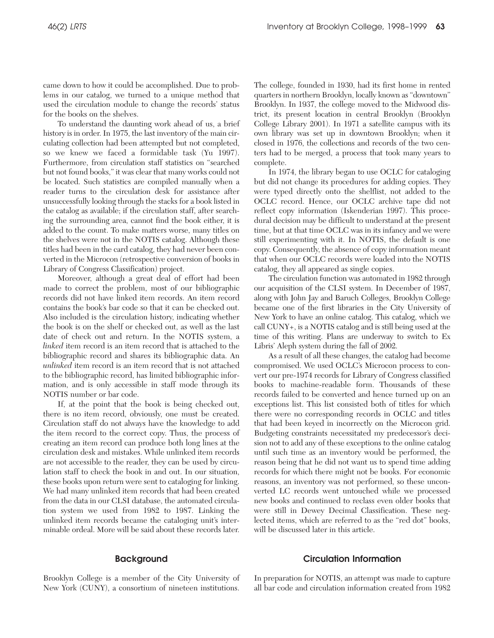came down to how it could be accomplished. Due to problems in our catalog, we turned to a unique method that used the circulation module to change the records' status for the books on the shelves.

To understand the daunting work ahead of us, a brief history is in order. In 1975, the last inventory of the main circulating collection had been attempted but not completed, so we knew we faced a formidable task (Yu 1997). Furthermore, from circulation staff statistics on "searched but not found books," it was clear that many works could not be located. Such statistics are compiled manually when a reader turns to the circulation desk for assistance after unsuccessfully looking through the stacks for a book listed in the catalog as available; if the circulation staff, after searching the surrounding area, cannot find the book either, it is added to the count. To make matters worse, many titles on the shelves were not in the NOTIS catalog. Although these titles had been in the card catalog, they had never been converted in the Microcon (retrospective conversion of books in Library of Congress Classification) project.

Moreover, although a great deal of effort had been made to correct the problem, most of our bibliographic records did not have linked item records. An item record contains the book's bar code so that it can be checked out. Also included is the circulation history, indicating whether the book is on the shelf or checked out, as well as the last date of check out and return. In the NOTIS system, a *linked* item record is an item record that is attached to the bibliographic record and shares its bibliographic data. An *unlinked* item record is an item record that is not attached to the bibliographic record, has limited bibliographic information, and is only accessible in staff mode through its NOTIS number or bar code.

If, at the point that the book is being checked out, there is no item record, obviously, one must be created. Circulation staff do not always have the knowledge to add the item record to the correct copy. Thus, the process of creating an item record can produce both long lines at the circulation desk and mistakes. While unlinked item records are not accessible to the reader, they can be used by circulation staff to check the book in and out. In our situation, these books upon return were sent to cataloging for linking. We had many unlinked item records that had been created from the data in our CLSI database, the automated circulation system we used from 1982 to 1987. Linking the unlinked item records became the cataloging unit's interminable ordeal. More will be said about these records later. The college, founded in 1930, had its first home in rented quarters in northern Brooklyn, locally known as "downtown" Brooklyn. In 1937, the college moved to the Midwood district, its present location in central Brooklyn (Brooklyn College Library 2001). In 1971 a satellite campus with its own library was set up in downtown Brooklyn; when it closed in 1976, the collections and records of the two centers had to be merged, a process that took many years to complete.

In 1974, the library began to use OCLC for cataloging but did not change its procedures for adding copies. They were typed directly onto the shelflist, not added to the OCLC record. Hence, our OCLC archive tape did not reflect copy information (Iskenderian 1997). This procedural decision may be difficult to understand at the present time, but at that time OCLC was in its infancy and we were still experimenting with it. In NOTIS, the default is one copy. Consequently, the absence of copy information meant that when our OCLC records were loaded into the NOTIS catalog, they all appeared as single copies.

The circulation function was automated in 1982 through our acquisition of the CLSI system. In December of 1987, along with John Jay and Baruch Colleges, Brooklyn College became one of the first libraries in the City University of New York to have an online catalog. This catalog, which we call CUNY+, is a NOTIS catalog and is still being used at the time of this writing. Plans are underway to switch to Ex Libris' Aleph system during the fall of 2002.

As a result of all these changes, the catalog had become compromised. We used OCLC's Microcon process to convert our pre-1974 records for Library of Congress classified books to machine-readable form. Thousands of these records failed to be converted and hence turned up on an exceptions list. This list consisted both of titles for which there were no corresponding records in OCLC and titles that had been keyed in incorrectly on the Microcon grid. Budgeting constraints necessitated my predecessor's decision not to add any of these exceptions to the online catalog until such time as an inventory would be performed, the reason being that he did not want us to spend time adding records for which there might not be books. For economic reasons, an inventory was not performed, so these unconverted LC records went untouched while we processed new books and continued to reclass even older books that were still in Dewey Decimal Classification. These neglected items, which are referred to as the "red dot" books, will be discussed later in this article.

# **Background**

Brooklyn College is a member of the City University of New York (CUNY), a consortium of nineteen institutions.

# **Circulation Information**

In preparation for NOTIS, an attempt was made to capture all bar code and circulation information created from 1982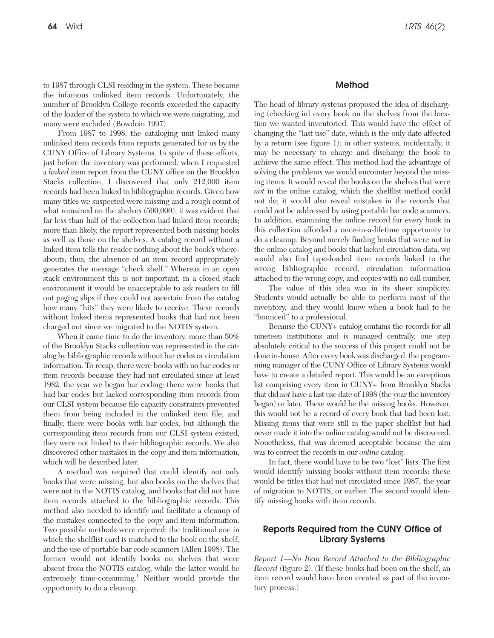to 1987 through CLSI residing in the system. These became the infamous unlinked item records. Unfortunately, the number of Brooklyn College records exceeded the capacity of the loader of the system to which we were migrating, and many were excluded (Bowdoin 1997).

From 1987 to 1998, the cataloging unit linked many unlinked item records from reports generated for us by the CUNY Office of Library Systems. In spite of these efforts, just before the inventory was performed, when I requested a *linked* item report from the CUNY office on the Brooklyn Stacks collection, I discovered that only 212,000 item records had been linked to bibliographic records. Given how many titles we suspected were missing and a rough count of what remained on the shelves (500,000), it was evident that far less than half of the collection had linked item records; more than likely, the report represented both missing books as well as those on the shelves. A catalog record without a linked item tells the reader nothing about the book's whereabouts; thus, the absence of an item record appropriately generates the message "check shelf." Whereas in an open stack environment this is not important, in a closed stack environment it would be unacceptable to ask readers to fill out paging slips if they could not ascertain from the catalog how many "hits" they were likely to receive. These records without linked items represented books that had not been charged out since we migrated to the NOTIS system.

When it came time to do the inventory, more than 50% of the Brooklyn Stacks collection was represented in the catalog by bibliographic records without bar codes or circulation information. To recap, there were books with no bar codes or item records because they had not circulated since at least 1982, the year we began bar coding; there were books that had bar codes but lacked corresponding item records from our CLSI system because file capacity constraints prevented them from being included in the unlinked item file; and finally, there were books with bar codes, but although the corresponding item records from our CLSI system existed, they were not linked to their bibliographic records. We also discovered other mistakes in the copy and item information, which will be described later.

A method was required that could identify not only books that were missing, but also books on the shelves that were not in the NOTIS catalog, and books that did not have item records attached to the bibliographic records. This method also needed to identify and facilitate a cleanup of the mistakes connected to the copy and item information. Two possible methods were rejected: the traditional one in which the shelflist card is matched to the book on the shelf, and the use of portable bar code scanners (Allen 1998). The former would not identify books on shelves that were absent from the NOTIS catalog, while the latter would be extremely time-consuming.<sup>1</sup> Neither would provide the opportunity to do a cleanup.

# **Method**

The head of library systems proposed the idea of discharging (checking in) every book on the shelves from the location we wanted inventoried. This would have the effect of changing the "last use" date, which is the only date affected by a return (see figure 1); in other systems, incidentally, it may be necessary to charge and discharge the book to achieve the same effect. This method had the advantage of solving the problems we would encounter beyond the missing items. It would reveal the books on the shelves that were *not* in the online catalog, which the shelflist method could not do; it would also reveal mistakes in the records that could not be addressed by using portable bar code scanners. In addition, examining the online record for every book in this collection afforded a once-in-a-lifetime opportunity to do a cleanup. Beyond merely finding books that were not in the online catalog and books that lacked circulation data, we would also find tape-loaded item records linked to the wrong bibliographic record, circulation information attached to the wrong copy, and copies with no call number.

The value of this idea was in its sheer simplicity. Students would actually be able to perform most of the inventory, and they would know when a book had to be "bounced" to a professional.

Because the CUNY+ catalog contains the records for all nineteen institutions and is managed centrally, one step absolutely critical to the success of this project could not be done in-house. After every book was discharged, the programming manager of the CUNY Office of Library Systems would have to create a detailed report. This would be an exceptions list comprising every item in CUNY+ from Brooklyn Stacks that did *not* have a last use date of 1998 (the year the inventory began) or later. These would be the missing books. However, this would not be a record of every book that had been lost. Missing items that were still in the paper shelflist but had never made it into the online catalog would not be discovered. Nonetheless, that was deemed acceptable because the aim was to correct the records in our *online* catalog.

In fact, there would have to be two "lost" lists. The first would identify missing books without item records; these would be titles that had not circulated since 1987, the year of migration to NOTIS, or earlier. The second would identify missing books with item records.

# **Reports Required from the CUNY Office of Library Systems**

*Report 1—No Item Record Attached to the Bibliographic Record* (figure 2). (If these books had been on the shelf, an item record would have been created as part of the inventory process.)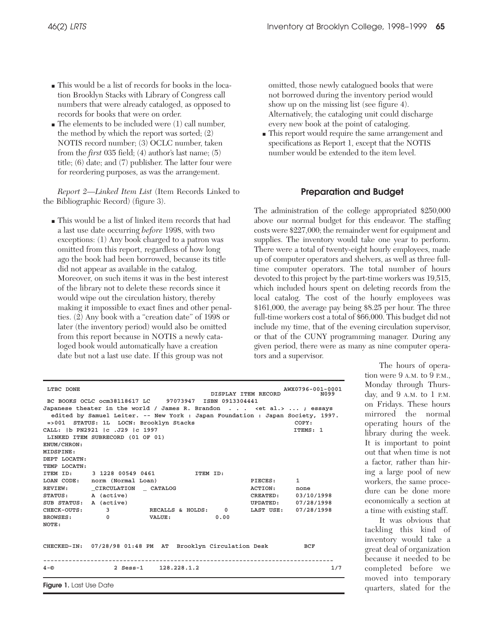- This would be a list of records for books in the location Brooklyn Stacks with Library of Congress call numbers that were already cataloged, as opposed to records for books that were on order.
- $\blacksquare$  The elements to be included were (1) call number, the method by which the report was sorted; (2) NOTIS record number; (3) OCLC number, taken from the *first* 035 field; (4) author's last name; (5) title; (6) date; and (7) publisher. The latter four were for reordering purposes, as was the arrangement.

*Report 2—Linked Item List* (Item Records Linked to the Bibliographic Record) (figure 3).

■ This would be a list of linked item records that had a last use date occurring *before* 1998, with two exceptions: (1) Any book charged to a patron was omitted from this report, regardless of how long ago the book had been borrowed, because its title did not appear as available in the catalog. Moreover, on such items it was in the best interest of the library not to delete these records since it would wipe out the circulation history, thereby making it impossible to exact fines and other penalties. (2) Any book with a "creation date" of 1998 or later (the inventory period) would also be omitted from this report because in NOTIS a newly cataloged book would automatically have a creation date but not a last use date. If this group was not

omitted, those newly catalogued books that were not borrowed during the inventory period would show up on the missing list (see figure 4). Alternatively, the cataloging unit could discharge every new book at the point of cataloging.

■ This report would require the same arrangement and specifications as Report 1, except that the NOTIS number would be extended to the item level.

# **Preparation and Budget**

The administration of the college appropriated \$250,000 above our normal budget for this endeavor. The staffing costs were \$227,000; the remainder went for equipment and supplies. The inventory would take one year to perform. There were a total of twenty-eight hourly employees, made up of computer operators and shelvers, as well as three fulltime computer operators. The total number of hours devoted to this project by the part-time workers was 19,515, which included hours spent on deleting records from the local catalog. The cost of the hourly employees was \$161,000, the average pay being \$8.25 per hour. The three full-time workers cost a total of \$66,000. This budget did not include my time, that of the evening circulation supervisor, or that of the CUNY programming manager. During any given period, there were as many as nine computer operators and a supervisor.

| LTBC DONE                                    |                                                                     | BC BOOKS OCLC ocm38118617 LC 97073947 ISBN 0913304441<br>Japanese theater in the world / James R. Brandon <et al.="">  ; essays</et> | DISPLAY ITEM RECORD |                                              | AWX0796-001-0001<br>N099 |
|----------------------------------------------|---------------------------------------------------------------------|--------------------------------------------------------------------------------------------------------------------------------------|---------------------|----------------------------------------------|--------------------------|
|                                              | =>001 STATUS: 1L LOCN: Brooklyn Stacks                              | edited by Samuel Leiter. -- New York : Japan Foundation : Japan Society, 1997.                                                       |                     |                                              | COPY:                    |
| ENUM/CHRON:<br>MIDSPINE:<br>DEPT LOCATN:     | CALL: 1b PN2921 1c .J29 1c 1997<br>LINKED ITEM SUBRECORD (01 OF 01) |                                                                                                                                      |                     |                                              | ITEMS: 1                 |
| TEMP LOCATN:                                 |                                                                     |                                                                                                                                      |                     |                                              |                          |
| ITEM ID:<br>REVIEW:                          | LOAN CODE: norm (Normal Loan)<br>CIRCULATION CATALOG                |                                                                                                                                      |                     | PIECES:<br>ACTION:                           | $\mathbf{1}$<br>none     |
| STATUS: A (active)<br>SUB STATUS: A (active) |                                                                     |                                                                                                                                      |                     | CREATED: $03/10/1998$<br>UPDATED: 07/28/1998 |                          |
| CHECK-OUTS: 3<br><b>BROWSES:</b><br>NOTE:    | $\overline{0}$                                                      | RECALLS & HOLDS: 0<br>VALUE:                                                                                                         | 0.00                | LAST USE: 07/28/1998                         |                          |
|                                              |                                                                     | CHECKED-IN: 07/28/98 01:48 PM AT Brooklyn Circulation Desk                                                                           |                     |                                              | BCF                      |
| $4 - \circledcirc$                           |                                                                     | 2 Sess-1 128.228.1.2                                                                                                                 |                     |                                              | 1/7                      |
| <b>Figure 1.</b> Last Use Date               |                                                                     |                                                                                                                                      |                     |                                              |                          |

The hours of operation were 9 A.M. to 9 P.M., Monday through Thursday, and 9 A.M. to 1 P.M. on Fridays. These hours mirrored the normal operating hours of the library during the week. It is important to point out that when time is not a factor, rather than hiring a large pool of new workers, the same procedure can be done more economically a section at a time with existing staff.

It was obvious that tackling this kind of inventory would take a great deal of organization because it needed to be completed before we moved into temporary quarters, slated for the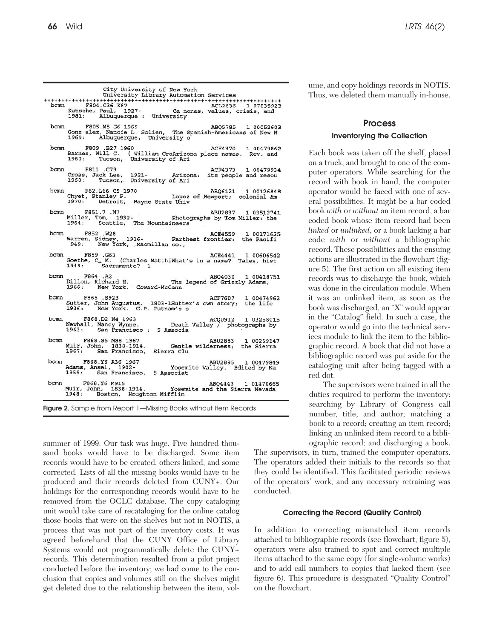| bcmn F804.C36 K87 ACL2636 1 07835923<br>Kutsche, Paul, 1927- Canones, values, crisis, and<br>1981: Albuquerque : University<br>ACL2636 1 07835923          |
|------------------------------------------------------------------------------------------------------------------------------------------------------------|
| F805.M5 G6 1969<br>Gonz alez, Nancie L. Solien, The Spanish-Americans of New M                                                                             |
| ACF4370 1 00479862<br>Barnes, Will C. ( William CroArizona place names. Rev. and                                                                           |
| ACF4373 1 00479934<br>Cross, Jack Lee, 1921- Arizona: its people and resou                                                                                 |
| bcmn F82.L66 C5 1970 ABQ6121 1 00126848<br>Chyet, Stanley F. Lopez of Newport; colonial Am<br>1970: Detroit, Wayne State Univ                              |
| F851.7 .M7 ABU2837 1 03512741<br>Miller, Tom, 1932-<br>Photographs by Tom Miller: the<br>ABU2837 1 03512741                                                |
| ACE4559 1 00171625<br>Warren, Sidney, 1916- Farthest frontier: the Pacifi                                                                                  |
| ACE4441 1 00606542<br>Goethe, C. M. (Charles MatthiWhat's in a name? Tales, hist 1949: Sacramento? 1                                                       |
| ABQ4030 1 00418751<br>rves .A2<br>Dillon, Richard H. The legend of Grizzly Adams,<br>1966: New York, Coward-McCann                                         |
| ACF7607 1 00474962<br>Sutter, John Augustus, 1803-1Sutter's own story; the life                                                                            |
| % 200912 103258015<br>Newhall, Nancy Wynne.<br>1963: San Francisco : 5 Associa<br>AC00912 1 03258015                                                       |
| ABU2883 1 00269147                                                                                                                                         |
| bcmn F868.Y6 A36 1967 - ABU2895 1 00479849<br>Adams, Ansel, 1902- - Yosemite Valley. Edited by Na<br>1959: San Francisco, 5 Associat<br>ABU2895 1 00479849 |
| ABQ4443 1 01470665<br>REQ4443 I U1470665<br>Muir, John, 1838-1914. Yosemite and the Sierra Nevada                                                          |
|                                                                                                                                                            |

**Figure 2.** Sample from Report 1—Missing Books without Item Records

summer of 1999. Our task was huge. Five hundred thousand books would have to be discharged. Some item records would have to be created, others linked, and some corrected. Lists of all the missing books would have to be produced and their records deleted from CUNY+. Our holdings for the corresponding records would have to be removed from the OCLC database. The copy cataloging unit would take care of recataloging for the online catalog those books that were on the shelves but not in NOTIS, a process that was not part of the inventory costs. It was agreed beforehand that the CUNY Office of Library Systems would not programmatically delete the CUNY+ records. This determination resulted from a pilot project conducted before the inventory; we had come to the conclusion that copies and volumes still on the shelves might get deleted due to the relationship between the item, vol-

ume, and copy holdings records in NOTIS. Thus, we deleted them manually in-house.

# **Process**

### **Inventorying the Collection**

Each book was taken off the shelf, placed on a truck, and brought to one of the computer operators. While searching for the record with book in hand, the computer operator would be faced with one of several possibilities. It might be a bar coded book *with* or *without* an item record, a bar coded book whose item record had been *linked* or *unlinked*, or a book lacking a bar code *with* or *without* a bibliographic record. These possibilities and the ensuing actions are illustrated in the flowchart (figure 5). The first action on all existing item records was to discharge the book, which was done in the circulation module. When it was an unlinked item, as soon as the book was discharged, an "X" would appear in the "Catalog" field. In such a case, the operator would go into the technical services module to link the item to the bibliographic record. A book that did not have a bibliographic record was put aside for the cataloging unit after being tagged with a red dot.

The supervisors were trained in all the duties required to perform the inventory: searching by Library of Congress call number, title, and author; matching a book to a record; creating an item record; linking an unlinked item record to a bibliographic record; and discharging a book.

The supervisors, in turn, trained the computer operators. The operators added their initials to the records so that they could be identified. This facilitated periodic reviews of the operators' work, and any necessary retraining was conducted.

#### **Correcting the Record (Quality Control)**

In addition to correcting mismatched item records attached to bibliographic records (see flowchart, figure 5), operators were also trained to spot and correct multiple items attached to the same copy (for single-volume works) and to add call numbers to copies that lacked them (see figure 6). This procedure is designated "Quality Control" on the flowchart.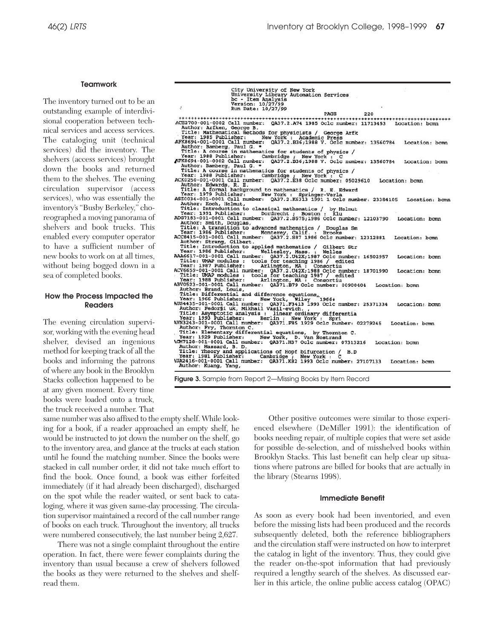#### **Teamwork**

The inventory turned out to be an outstanding example of interdivisional cooperation between technical services and access services. The cataloging unit (technical services) did the inventory. The shelvers (access services) brought down the books and returned them to the shelves. The evening circulation supervisor (access services), who was essentially the inventory's "Busby Berkeley," choreographed a moving panorama of shelvers and book trucks. This enabled every computer operator to have a sufficient number of new books to work on at all times, without being bogged down in a sea of completed books.

## **How the Process Impacted the Readers**

The evening circulation supervisor, working with the evening head shelver, devised an ingenious method for keeping track of all the books and informing the patrons of where any book in the Brooklyn Stacks collection happened to be at any given moment. Every time books were loaded onto a truck, the truck received a number. That

same number was also affixed to the empty shelf. While looking for a book, if a reader approached an empty shelf, he would be instructed to jot down the number on the shelf, go to the inventory area, and glance at the trucks at each station until he found the matching number. Since the books were stacked in call number order, it did not take much effort to find the book. Once found, a book was either forfeited immediately (if it had already been discharged), discharged on the spot while the reader waited, or sent back to cataloging, where it was given same-day processing. The circulation supervisor maintained a record of the call number range of books on each truck. Throughout the inventory, all trucks were numbered consecutively, the last number being 2,627.

There was not a single complaint throughout the entire operation. In fact, there were fewer complaints during the inventory than usual because a crew of shelvers followed the books as they were returned to the shelves and shelfread them.

City University of New York<br>University Library Automation Services<br>No - Item Analysis<br>Version: 10/27/99<br>Run Date: 10/27/99 Figure 1972-2013<br> **Figure 3. Althor: Arken, George Br. 0337.279<br>
FASS 12210<br>
ARKEN, George Br. 0337.274<br>
The Missing Figure 3. Althor: Arken, George Br. 0337.274<br>
AFKen, 2007<br>
AFKen, 2007<br>
AFKen, 2007<br>
AFKen, 2007<br>
ARKEN,** PAGE  $220$ Location: bcmn Location: bcmn Location: bomn Location: bcmn Location: bomn Location: bcmn Location: bcmn Location: bcmn Location: bcmn Location: bcmn Location: bcmn Location: bcmn Location: bcmn Location: bcmn

> Other positive outcomes were similar to those experienced elsewhere (DeMiller 1991): the identification of books needing repair, of multiple copies that were set aside for possible de-selection, and of misshelved books within Brooklyn Stacks. This last benefit can help clear up situations where patrons are billed for books that are actually in the library (Stearns 1998).

#### **Immediate Benefit**

As soon as every book had been inventoried, and even before the missing lists had been produced and the records subsequently deleted, both the reference bibliographers and the circulation staff were instructed on how to interpret the catalog in light of the inventory. Thus, they could give the reader on-the-spot information that had previously required a lengthy search of the shelves. As discussed earlier in this article, the online public access catalog (OPAC)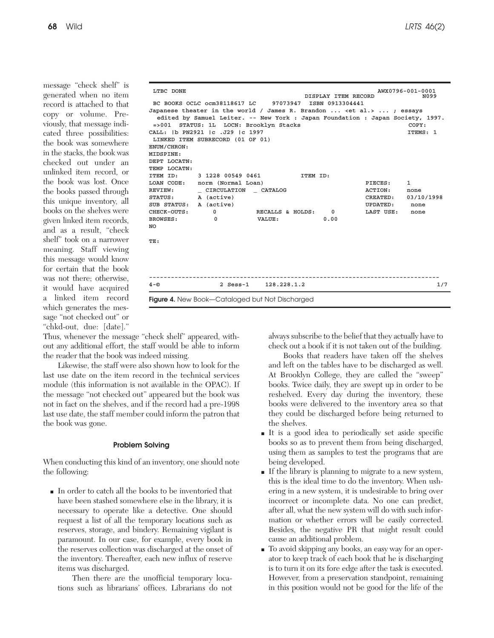message "check shelf" is generated when no item record is attached to that copy or volume. Previously, that message indicated three possibilities: the book was somewhere in the stacks, the book was checked out under an unlinked item record, or the book was lost. Once the books passed through this unique inventory, all books on the shelves were given linked item records, and as a result, "check shelf" took on a narrower meaning. Staff viewing this message would know for certain that the book was not there; otherwise, it would have acquired a linked item record which generates the message "not checked out" or "chkd-out, due: [date]."

|                                   |                                        | <b>Figure 4.</b> New Book-Cataloged but Not Discharged                         |                     |                      |                    |  |  |
|-----------------------------------|----------------------------------------|--------------------------------------------------------------------------------|---------------------|----------------------|--------------------|--|--|
| $4 - \circledcirc$                |                                        | 2 Sess-1 128.228.1.2                                                           |                     |                      | 1/7                |  |  |
|                                   |                                        |                                                                                |                     |                      |                    |  |  |
| TE:                               |                                        |                                                                                |                     |                      |                    |  |  |
| NO.                               |                                        |                                                                                |                     |                      |                    |  |  |
| <b>BROWSES:</b>                   | $\Omega$                               | VALUE:                                                                         | 0.00                |                      |                    |  |  |
| CHECK-OUTS:                       | $\Omega$                               | RECALLS & HOLDS:                                                               | $^{\circ}$          | LAST USE:            | none               |  |  |
| STATUS:<br>SUB STATUS: A (active) | A (active)                             |                                                                                |                     | CREATED:<br>UPDATED: | 03/10/1998<br>none |  |  |
| REVIEW:                           | CIRCULATION CATALOG                    |                                                                                |                     | ACTION:              | none               |  |  |
|                                   | LOAN CODE: norm (Normal Loan)          |                                                                                |                     | PIECES:              | 1                  |  |  |
| ITEM ID:                          | 3 1228 00549 0461                      | ITEM ID:                                                                       |                     |                      |                    |  |  |
| TEMP LOCATN:                      |                                        |                                                                                |                     |                      |                    |  |  |
| DEPT LOCATN:                      |                                        |                                                                                |                     |                      |                    |  |  |
| MIDSPINE:                         |                                        |                                                                                |                     |                      |                    |  |  |
| ENUM/CHRON:                       |                                        |                                                                                |                     |                      |                    |  |  |
|                                   | LINKED ITEM SUBRECORD (01 OF 01)       |                                                                                |                     |                      |                    |  |  |
| CALL: 1b PN2921 1c .J29 1c 1997   |                                        |                                                                                |                     |                      |                    |  |  |
|                                   | =>001 STATUS: 1L LOCN: Brooklyn Stacks |                                                                                |                     |                      | COPY:              |  |  |
|                                   |                                        | edited by Samuel Leiter. -- New York : Japan Foundation : Japan Society, 1997. |                     |                      |                    |  |  |
|                                   |                                        | Japanese theater in the world / James R. Brandon <et al.="">  ; essays</et>    |                     |                      |                    |  |  |
|                                   |                                        | BC BOOKS OCLC ocm38118617 LC 97073947 ISBN 0913304441                          | DISPLAY ITEM RECORD |                      | N099               |  |  |
| LTBC DONE                         |                                        |                                                                                |                     |                      | AWX0796-001-0001   |  |  |

Thus, whenever the message "check shelf" appeared, without any additional effort, the staff would be able to inform the reader that the book was indeed missing.

Likewise, the staff were also shown how to look for the last use date on the item record in the technical services module (this information is not available in the OPAC). If the message "not checked out" appeared but the book was not in fact on the shelves, and if the record had a pre-1998 last use date, the staff member could inform the patron that the book was gone.

# **Problem Solving**

When conducting this kind of an inventory, one should note the following:

■ In order to catch all the books to be inventoried that have been stashed somewhere else in the library, it is necessary to operate like a detective. One should request a list of all the temporary locations such as reserves, storage, and bindery. Remaining vigilant is paramount. In our case, for example, every book in the reserves collection was discharged at the onset of the inventory. Thereafter, each new influx of reserve items was discharged.

Then there are the unofficial temporary locations such as librarians' offices. Librarians do not always subscribe to the belief that they actually have to check out a book if it is not taken out of the building.

Books that readers have taken off the shelves and left on the tables have to be discharged as well. At Brooklyn College, they are called the "sweep" books. Twice daily, they are swept up in order to be reshelved. Every day during the inventory, these books were delivered to the inventory area so that they could be discharged before being returned to the shelves.

- It is a good idea to periodically set aside specific books so as to prevent them from being discharged, using them as samples to test the programs that are being developed.
- If the library is planning to migrate to a new system, this is the ideal time to do the inventory. When ushering in a new system, it is undesirable to bring over incorrect or incomplete data. No one can predict, after all, what the new system will do with such information or whether errors will be easily corrected. Besides, the negative PR that might result could cause an additional problem.
- To avoid skipping any books, an easy way for an operator to keep track of each book that he is discharging is to turn it on its fore edge after the task is executed. However, from a preservation standpoint, remaining in this position would not be good for the life of the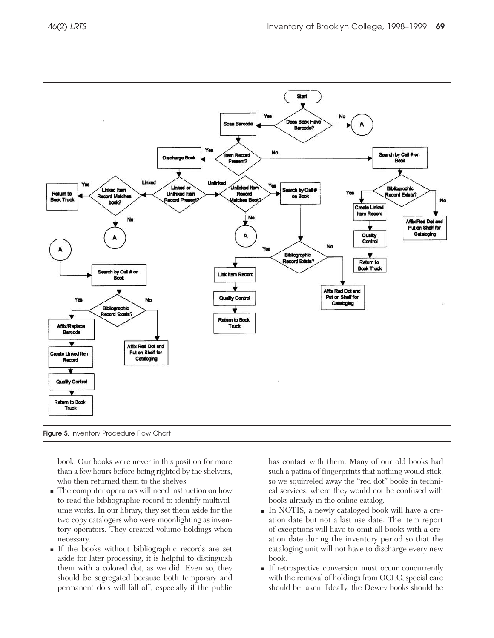

**Figure 5.** Inventory Procedure Flow Chart

book. Our books were never in this position for more than a few hours before being righted by the shelvers, who then returned them to the shelves.

- The computer operators will need instruction on how to read the bibliographic record to identify multivolume works. In our library, they set them aside for the two copy catalogers who were moonlighting as inventory operators. They created volume holdings when necessary.
- If the books without bibliographic records are set aside for later processing, it is helpful to distinguish them with a colored dot, as we did. Even so, they should be segregated because both temporary and permanent dots will fall off, especially if the public

has contact with them. Many of our old books had such a patina of fingerprints that nothing would stick, so we squirreled away the "red dot" books in technical services, where they would not be confused with books already in the online catalog.

- In NOTIS, a newly cataloged book will have a creation date but not a last use date. The item report of exceptions will have to omit all books with a creation date during the inventory period so that the cataloging unit will not have to discharge every new book.
- If retrospective conversion must occur concurrently with the removal of holdings from OCLC, special care should be taken. Ideally, the Dewey books should be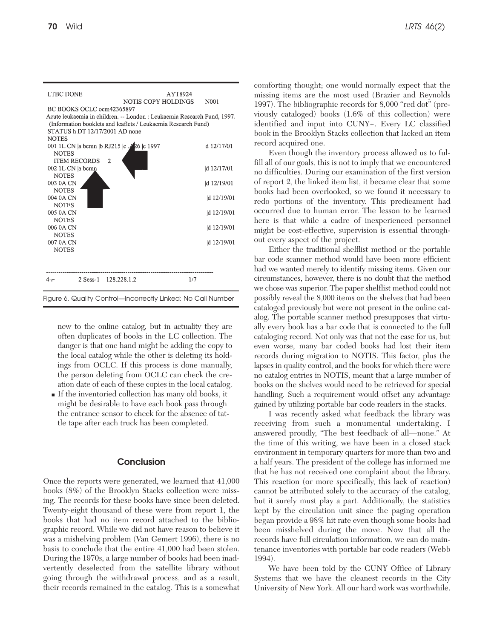

new to the online catalog, but in actuality they are often duplicates of books in the LC collection. The danger is that one hand might be adding the copy to the local catalog while the other is deleting its holdings from OCLC. If this process is done manually, the person deleting from OCLC can check the creation date of each of these copies in the local catalog.

■ If the inventoried collection has many old books, it might be desirable to have each book pass through the entrance sensor to check for the absence of tattle tape after each truck has been completed.

# **Conclusion**

Once the reports were generated, we learned that 41,000 books (8%) of the Brooklyn Stacks collection were missing. The records for these books have since been deleted. Twenty-eight thousand of these were from report 1, the books that had no item record attached to the bibliographic record. While we did not have reason to believe it was a mishelving problem (Van Gemert 1996), there is no basis to conclude that the entire 41,000 had been stolen. During the 1970s, a large number of books had been inadvertently deselected from the satellite library without going through the withdrawal process, and as a result, their records remained in the catalog. This is a somewhat comforting thought; one would normally expect that the missing items are the most used (Brazier and Reynolds 1997). The bibliographic records for 8,000 "red dot" (previously cataloged) books (1.6% of this collection) were identified and input into CUNY+. Every LC classified book in the Brooklyn Stacks collection that lacked an item record acquired one.

Even though the inventory process allowed us to fulfill all of our goals, this is not to imply that we encountered no difficulties. During our examination of the first version of report 2, the linked item list, it became clear that some books had been overlooked, so we found it necessary to redo portions of the inventory. This predicament had occurred due to human error. The lesson to be learned here is that while a cadre of inexperienced personnel might be cost-effective, supervision is essential throughout every aspect of the project.

Either the traditional shelflist method or the portable bar code scanner method would have been more efficient had we wanted merely to identify missing items. Given our circumstances, however, there is no doubt that the method we chose was superior. The paper shelflist method could not possibly reveal the 8,000 items on the shelves that had been cataloged previously but were not present in the online catalog. The portable scanner method presupposes that virtually every book has a bar code that is connected to the full cataloging record. Not only was that not the case for us, but even worse, many bar coded books had lost their item records during migration to NOTIS. This factor, plus the lapses in quality control, and the books for which there were no catalog entries in NOTIS, meant that a large number of books on the shelves would need to be retrieved for special handling. Such a requirement would offset any advantage gained by utilizing portable bar code readers in the stacks.

I was recently asked what feedback the library was receiving from such a monumental undertaking. I answered proudly, "The best feedback of all—none." At the time of this writing, we have been in a closed stack environment in temporary quarters for more than two and a half years. The president of the college has informed me that he has not received one complaint about the library. This reaction (or more specifically, this lack of reaction) cannot be attributed solely to the accuracy of the catalog, but it surely must play a part. Additionally, the statistics kept by the circulation unit since the paging operation began provide a 98% hit rate even though some books had been misshelved during the move. Now that all the records have full circulation information, we can do maintenance inventories with portable bar code readers (Webb 1994).

We have been told by the CUNY Office of Library Systems that we have the cleanest records in the City University of New York. All our hard work was worthwhile.